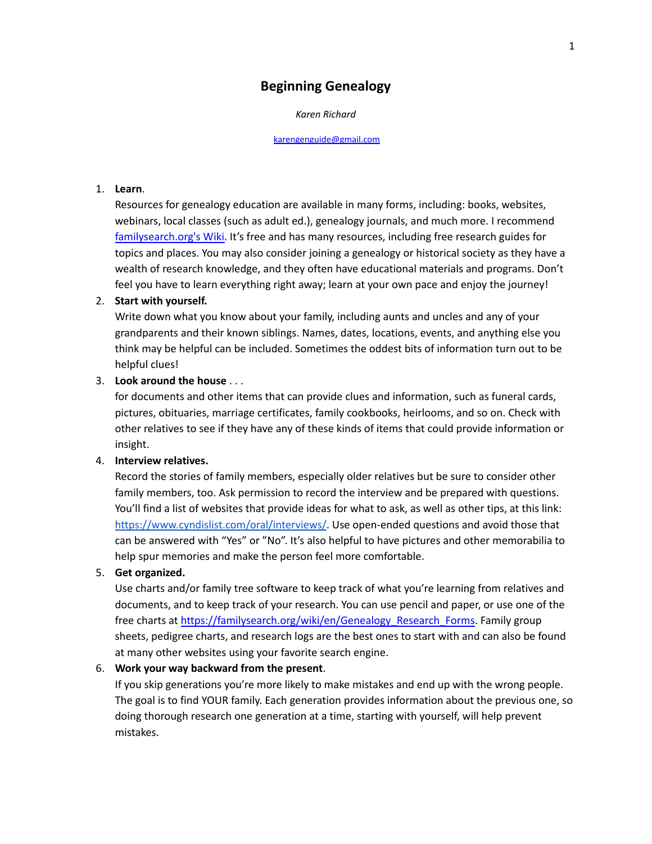# **Beginning Genealogy**

#### *Karen Richard*

[karengenguide@gmail.com](mailto:karengenguide@gmail.com)

### 1. **Learn**.

Resources for genealogy education are available in many forms, including: books, websites, webinars, local classes (such as adult ed.), genealogy journals, and much more. I recommend [familysearch.org's](https://familysearch.org/wiki/en/Main_Page) Wiki. It's free and has many resources, including free research guides for topics and places. You may also consider joining a genealogy or historical society as they have a wealth of research knowledge, and they often have educational materials and programs. Don't feel you have to learn everything right away; learn at your own pace and enjoy the journey!

#### 2. **Start with yourself.**

Write down what you know about your family, including aunts and uncles and any of your grandparents and their known siblings. Names, dates, locations, events, and anything else you think may be helpful can be included. Sometimes the oddest bits of information turn out to be helpful clues!

#### 3. **Look around the house** . . .

for documents and other items that can provide clues and information, such as funeral cards, pictures, obituaries, marriage certificates, family cookbooks, heirlooms, and so on. Check with other relatives to see if they have any of these kinds of items that could provide information or insight.

#### 4. **Interview relatives.**

Record the stories of family members, especially older relatives but be sure to consider other family members, too. Ask permission to record the interview and be prepared with questions. You'll find a list of websites that provide ideas for what to ask, as well as other tips, at this link: [https://www.cyndislist.com/oral/interviews/.](https://www.cyndislist.com/oral/interviews/) Use open-ended questions and avoid those that can be answered with "Yes" or "No". It's also helpful to have pictures and other memorabilia to help spur memories and make the person feel more comfortable.

#### 5. **Get organized.**

Use charts and/or family tree software to keep track of what you're learning from relatives and documents, and to keep track of your research. You can use pencil and paper, or use one of the free charts at [https://familysearch.org/wiki/en/Genealogy\\_Research\\_Forms](https://familysearch.org/wiki/en/Genealogy_Research_Forms). Family group sheets, pedigree charts, and research logs are the best ones to start with and can also be found at many other websites using your favorite search engine.

# 6. **Work your way backward from the present**.

If you skip generations you're more likely to make mistakes and end up with the wrong people. The goal is to find YOUR family. Each generation provides information about the previous one, so doing thorough research one generation at a time, starting with yourself, will help prevent mistakes.